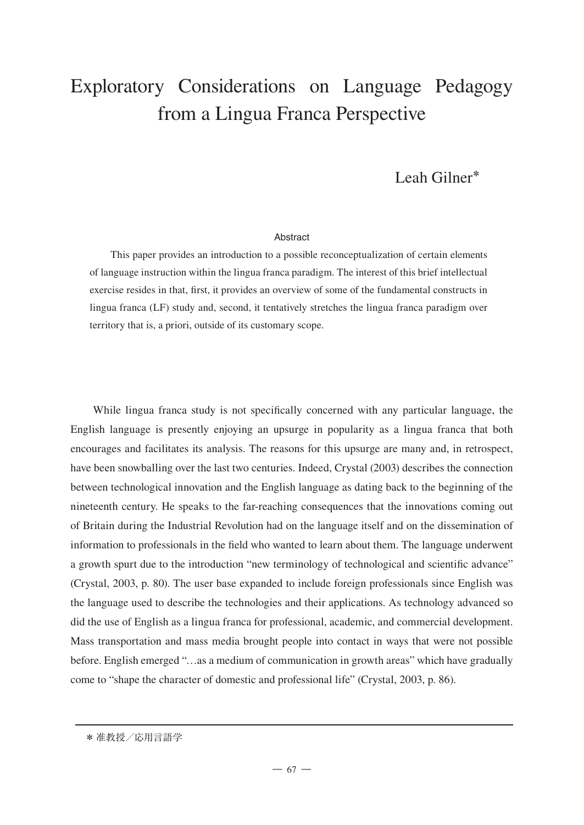# Exploratory Considerations on Language Pedagogy from a Lingua Franca Perspective

# Leah Gilner**\***

#### **Abstract**

This paper provides an introduction to a possible reconceptualization of certain elements of language instruction within the lingua franca paradigm. The interest of this brief intellectual exercise resides in that, first, it provides an overview of some of the fundamental constructs in lingua franca (LF) study and, second, it tentatively stretches the lingua franca paradigm over territory that is, a priori, outside of its customary scope.

While lingua franca study is not specifically concerned with any particular language, the English language is presently enjoying an upsurge in popularity as a lingua franca that both encourages and facilitates its analysis. The reasons for this upsurge are many and, in retrospect, have been snowballing over the last two centuries. Indeed, Crystal (2003) describes the connection between technological innovation and the English language as dating back to the beginning of the nineteenth century. He speaks to the far-reaching consequences that the innovations coming out of Britain during the Industrial Revolution had on the language itself and on the dissemination of information to professionals in the field who wanted to learn about them. The language underwent a growth spurt due to the introduction "new terminology of technological and scientific advance" (Crystal, 2003, p. 80). The user base expanded to include foreign professionals since English was the language used to describe the technologies and their applications. As technology advanced so did the use of English as a lingua franca for professional, academic, and commercial development. Mass transportation and mass media brought people into contact in ways that were not possible before. English emerged "…as a medium of communication in growth areas" which have gradually come to "shape the character of domestic and professional life" (Crystal, 2003, p. 86).

<sup>\*</sup> 准教授/応用言語学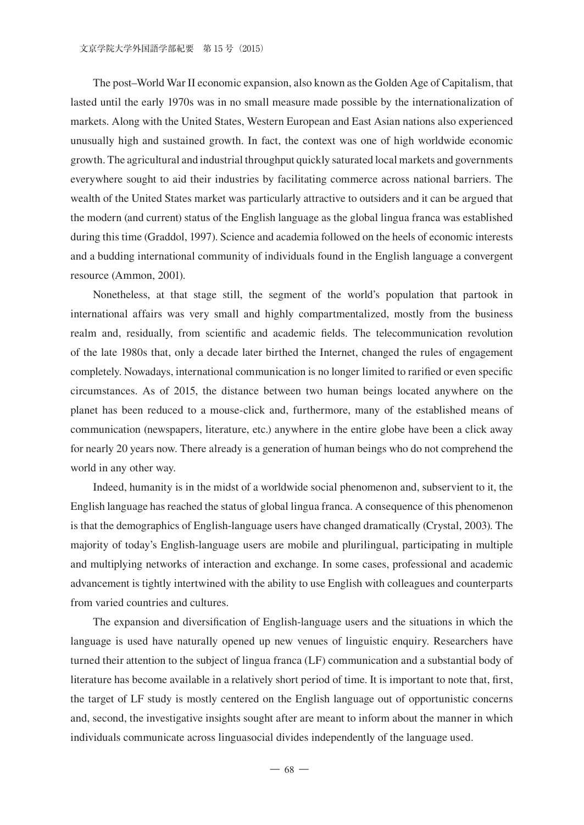The post–World War II economic expansion, also known as the Golden Age of Capitalism, that lasted until the early 1970s was in no small measure made possible by the internationalization of markets. Along with the United States, Western European and East Asian nations also experienced unusually high and sustained growth. In fact, the context was one of high worldwide economic growth. The agricultural and industrial throughput quickly saturated local markets and governments everywhere sought to aid their industries by facilitating commerce across national barriers. The wealth of the United States market was particularly attractive to outsiders and it can be argued that the modern (and current) status of the English language as the global lingua franca was established during this time (Graddol, 1997). Science and academia followed on the heels of economic interests and a budding international community of individuals found in the English language a convergent resource (Ammon, 2001).

Nonetheless, at that stage still, the segment of the world's population that partook in international affairs was very small and highly compartmentalized, mostly from the business realm and, residually, from scientific and academic fields. The telecommunication revolution of the late 1980s that, only a decade later birthed the Internet, changed the rules of engagement completely. Nowadays, international communication is no longer limited to rarified or even specific circumstances. As of 2015, the distance between two human beings located anywhere on the planet has been reduced to a mouse-click and, furthermore, many of the established means of communication (newspapers, literature, etc.) anywhere in the entire globe have been a click away for nearly 20 years now. There already is a generation of human beings who do not comprehend the world in any other way.

Indeed, humanity is in the midst of a worldwide social phenomenon and, subservient to it, the English language has reached the status of global lingua franca. A consequence of this phenomenon is that the demographics of English-language users have changed dramatically (Crystal, 2003). The majority of today's English-language users are mobile and plurilingual, participating in multiple and multiplying networks of interaction and exchange. In some cases, professional and academic advancement is tightly intertwined with the ability to use English with colleagues and counterparts from varied countries and cultures.

The expansion and diversification of English-language users and the situations in which the language is used have naturally opened up new venues of linguistic enquiry. Researchers have turned their attention to the subject of lingua franca (LF) communication and a substantial body of literature has become available in a relatively short period of time. It is important to note that, first, the target of LF study is mostly centered on the English language out of opportunistic concerns and, second, the investigative insights sought after are meant to inform about the manner in which individuals communicate across linguasocial divides independently of the language used.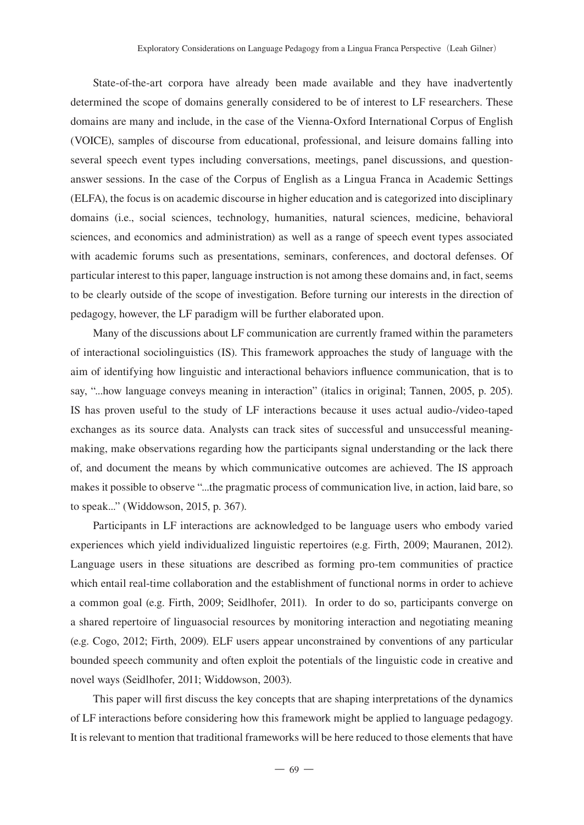State-of-the-art corpora have already been made available and they have inadvertently determined the scope of domains generally considered to be of interest to LF researchers. These domains are many and include, in the case of the Vienna-Oxford International Corpus of English (VOICE), samples of discourse from educational, professional, and leisure domains falling into several speech event types including conversations, meetings, panel discussions, and questionanswer sessions. In the case of the Corpus of English as a Lingua Franca in Academic Settings (ELFA), the focus is on academic discourse in higher education and is categorized into disciplinary domains (i.e., social sciences, technology, humanities, natural sciences, medicine, behavioral sciences, and economics and administration) as well as a range of speech event types associated with academic forums such as presentations, seminars, conferences, and doctoral defenses. Of particular interest to this paper, language instruction is not among these domains and, in fact, seems to be clearly outside of the scope of investigation. Before turning our interests in the direction of pedagogy, however, the LF paradigm will be further elaborated upon.

Many of the discussions about LF communication are currently framed within the parameters of interactional sociolinguistics (IS). This framework approaches the study of language with the aim of identifying how linguistic and interactional behaviors influence communication, that is to say, "...how language conveys meaning in interaction" (italics in original; Tannen, 2005, p. 205). IS has proven useful to the study of LF interactions because it uses actual audio-/video-taped exchanges as its source data. Analysts can track sites of successful and unsuccessful meaningmaking, make observations regarding how the participants signal understanding or the lack there of, and document the means by which communicative outcomes are achieved. The IS approach makes it possible to observe "...the pragmatic process of communication live, in action, laid bare, so to speak..." (Widdowson, 2015, p. 367).

Participants in LF interactions are acknowledged to be language users who embody varied experiences which yield individualized linguistic repertoires (e.g. Firth, 2009; Mauranen, 2012). Language users in these situations are described as forming pro-tem communities of practice which entail real-time collaboration and the establishment of functional norms in order to achieve a common goal (e.g. Firth, 2009; Seidlhofer, 2011). In order to do so, participants converge on a shared repertoire of linguasocial resources by monitoring interaction and negotiating meaning (e.g. Cogo, 2012; Firth, 2009). ELF users appear unconstrained by conventions of any particular bounded speech community and often exploit the potentials of the linguistic code in creative and novel ways (Seidlhofer, 2011; Widdowson, 2003).

This paper will first discuss the key concepts that are shaping interpretations of the dynamics of LF interactions before considering how this framework might be applied to language pedagogy. It is relevant to mention that traditional frameworks will be here reduced to those elements that have

 $-69-$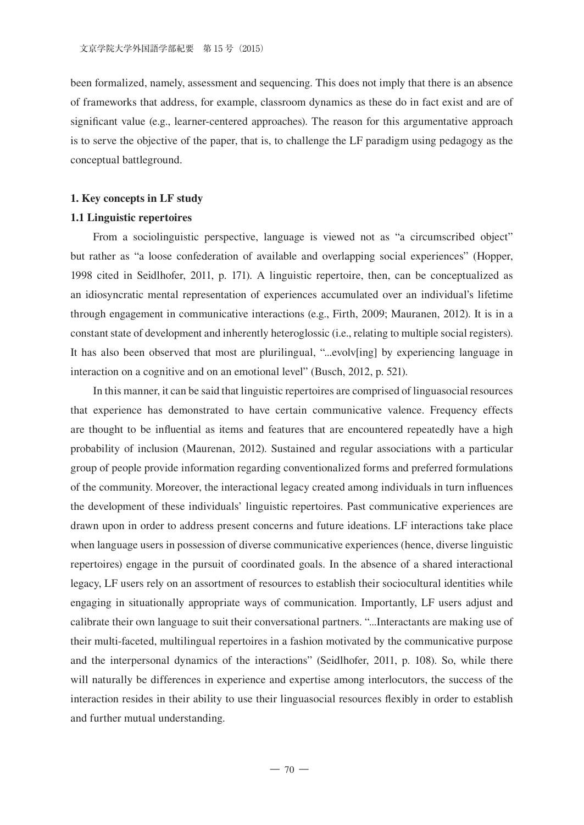been formalized, namely, assessment and sequencing. This does not imply that there is an absence of frameworks that address, for example, classroom dynamics as these do in fact exist and are of significant value (e.g., learner-centered approaches). The reason for this argumentative approach is to serve the objective of the paper, that is, to challenge the LF paradigm using pedagogy as the conceptual battleground.

#### **1. Key concepts in LF study**

# **1.1 Linguistic repertoires**

From a sociolinguistic perspective, language is viewed not as "a circumscribed object" but rather as "a loose confederation of available and overlapping social experiences" (Hopper, 1998 cited in Seidlhofer, 2011, p. 171). A linguistic repertoire, then, can be conceptualized as an idiosyncratic mental representation of experiences accumulated over an individual's lifetime through engagement in communicative interactions (e.g., Firth, 2009; Mauranen, 2012). It is in a constant state of development and inherently heteroglossic (i.e., relating to multiple social registers). It has also been observed that most are plurilingual, "...evolv[ing] by experiencing language in interaction on a cognitive and on an emotional level" (Busch, 2012, p. 521).

In this manner, it can be said that linguistic repertoires are comprised of linguasocial resources that experience has demonstrated to have certain communicative valence. Frequency effects are thought to be influential as items and features that are encountered repeatedly have a high probability of inclusion (Maurenan, 2012). Sustained and regular associations with a particular group of people provide information regarding conventionalized forms and preferred formulations of the community. Moreover, the interactional legacy created among individuals in turn influences the development of these individuals' linguistic repertoires. Past communicative experiences are drawn upon in order to address present concerns and future ideations. LF interactions take place when language users in possession of diverse communicative experiences (hence, diverse linguistic repertoires) engage in the pursuit of coordinated goals. In the absence of a shared interactional legacy, LF users rely on an assortment of resources to establish their sociocultural identities while engaging in situationally appropriate ways of communication. Importantly, LF users adjust and calibrate their own language to suit their conversational partners. "...Interactants are making use of their multi-faceted, multilingual repertoires in a fashion motivated by the communicative purpose and the interpersonal dynamics of the interactions" (Seidlhofer, 2011, p. 108). So, while there will naturally be differences in experience and expertise among interlocutors, the success of the interaction resides in their ability to use their linguasocial resources flexibly in order to establish and further mutual understanding.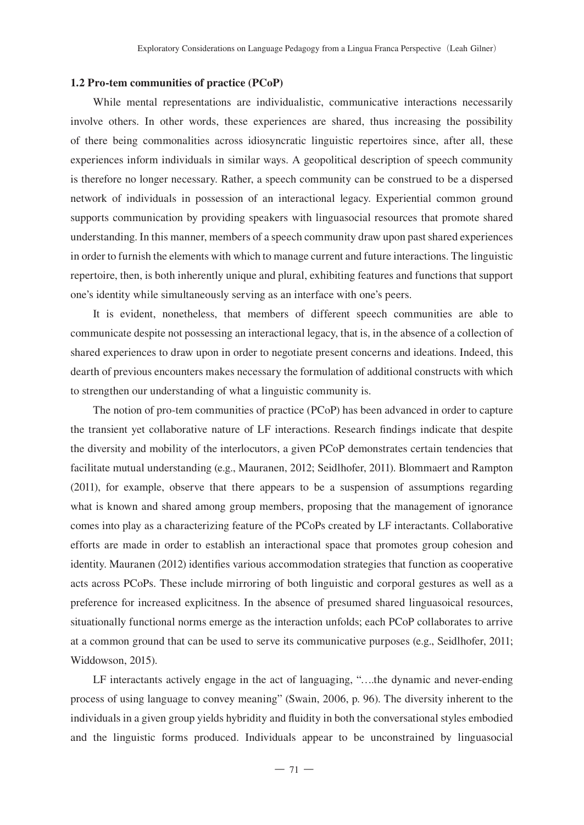# **1.2 Pro-tem communities of practice (PCoP)**

While mental representations are individualistic, communicative interactions necessarily involve others. In other words, these experiences are shared, thus increasing the possibility of there being commonalities across idiosyncratic linguistic repertoires since, after all, these experiences inform individuals in similar ways. A geopolitical description of speech community is therefore no longer necessary. Rather, a speech community can be construed to be a dispersed network of individuals in possession of an interactional legacy. Experiential common ground supports communication by providing speakers with linguasocial resources that promote shared understanding. In this manner, members of a speech community draw upon past shared experiences in order to furnish the elements with which to manage current and future interactions. The linguistic repertoire, then, is both inherently unique and plural, exhibiting features and functions that support one's identity while simultaneously serving as an interface with one's peers.

It is evident, nonetheless, that members of different speech communities are able to communicate despite not possessing an interactional legacy, that is, in the absence of a collection of shared experiences to draw upon in order to negotiate present concerns and ideations. Indeed, this dearth of previous encounters makes necessary the formulation of additional constructs with which to strengthen our understanding of what a linguistic community is.

The notion of pro-tem communities of practice (PCoP) has been advanced in order to capture the transient yet collaborative nature of LF interactions. Research findings indicate that despite the diversity and mobility of the interlocutors, a given PCoP demonstrates certain tendencies that facilitate mutual understanding (e.g., Mauranen, 2012; Seidlhofer, 2011). Blommaert and Rampton (2011), for example, observe that there appears to be a suspension of assumptions regarding what is known and shared among group members, proposing that the management of ignorance comes into play as a characterizing feature of the PCoPs created by LF interactants. Collaborative efforts are made in order to establish an interactional space that promotes group cohesion and identity. Mauranen (2012) identifies various accommodation strategies that function as cooperative acts across PCoPs. These include mirroring of both linguistic and corporal gestures as well as a preference for increased explicitness. In the absence of presumed shared linguasoical resources, situationally functional norms emerge as the interaction unfolds; each PCoP collaborates to arrive at a common ground that can be used to serve its communicative purposes (e.g., Seidlhofer, 2011; Widdowson, 2015).

LF interactants actively engage in the act of languaging, "….the dynamic and never-ending process of using language to convey meaning" (Swain, 2006, p. 96). The diversity inherent to the individuals in a given group yields hybridity and fluidity in both the conversational styles embodied and the linguistic forms produced. Individuals appear to be unconstrained by linguasocial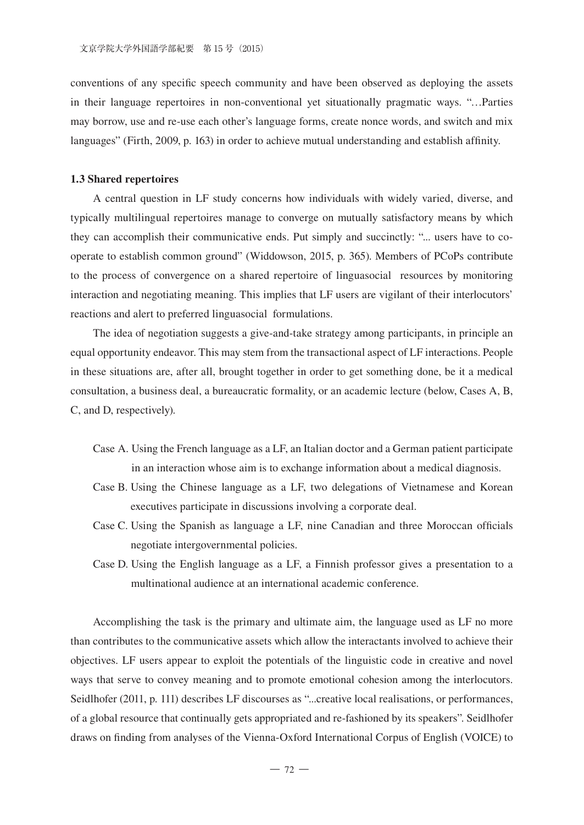conventions of any specific speech community and have been observed as deploying the assets in their language repertoires in non-conventional yet situationally pragmatic ways. "…Parties may borrow, use and re-use each other's language forms, create nonce words, and switch and mix languages" (Firth, 2009, p. 163) in order to achieve mutual understanding and establish affinity.

# **1.3 Shared repertoires**

A central question in LF study concerns how individuals with widely varied, diverse, and typically multilingual repertoires manage to converge on mutually satisfactory means by which they can accomplish their communicative ends. Put simply and succinctly: "... users have to cooperate to establish common ground" (Widdowson, 2015, p. 365). Members of PCoPs contribute to the process of convergence on a shared repertoire of linguasocial resources by monitoring interaction and negotiating meaning. This implies that LF users are vigilant of their interlocutors' reactions and alert to preferred linguasocial formulations.

The idea of negotiation suggests a give-and-take strategy among participants, in principle an equal opportunity endeavor. This may stem from the transactional aspect of LF interactions. People in these situations are, after all, brought together in order to get something done, be it a medical consultation, a business deal, a bureaucratic formality, or an academic lecture (below, Cases A, B, C, and D, respectively).

- Case A. Using the French language as a LF, an Italian doctor and a German patient participate in an interaction whose aim is to exchange information about a medical diagnosis.
- Case B. Using the Chinese language as a LF, two delegations of Vietnamese and Korean executives participate in discussions involving a corporate deal.
- Case C. Using the Spanish as language a LF, nine Canadian and three Moroccan officials negotiate intergovernmental policies.
- Case D. Using the English language as a LF, a Finnish professor gives a presentation to a multinational audience at an international academic conference.

Accomplishing the task is the primary and ultimate aim, the language used as LF no more than contributes to the communicative assets which allow the interactants involved to achieve their objectives. LF users appear to exploit the potentials of the linguistic code in creative and novel ways that serve to convey meaning and to promote emotional cohesion among the interlocutors. Seidlhofer (2011, p. 111) describes LF discourses as "...creative local realisations, or performances, of a global resource that continually gets appropriated and re-fashioned by its speakers". Seidlhofer draws on finding from analyses of the Vienna-Oxford International Corpus of English (VOICE) to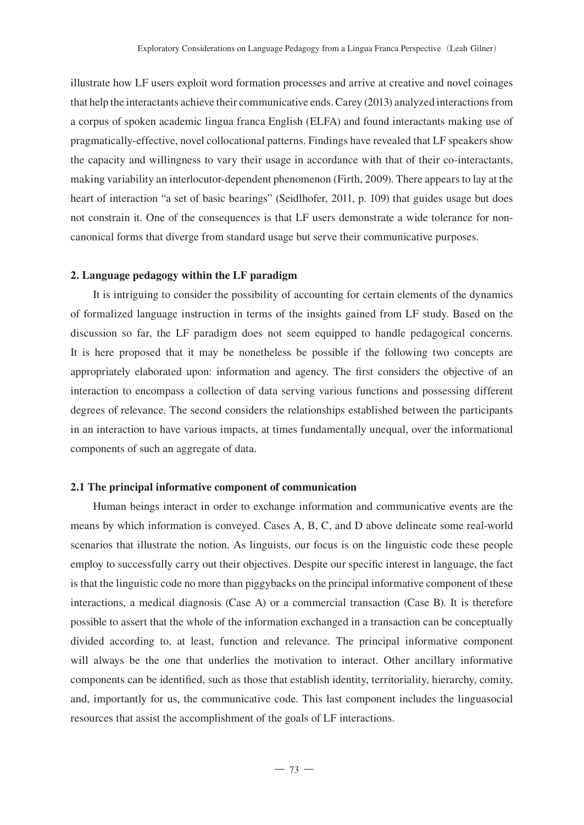illustrate how LF users exploit word formation processes and arrive at creative and novel coinages that help the interactants achieve their communicative ends. Carey (2013) analyzed interactions from a corpus of spoken academic lingua franca English (ELFA) and found interactants making use of pragmatically-effective, novel collocational patterns. Findings have revealed that LF speakers show the capacity and willingness to vary their usage in accordance with that of their co-interactants, making variability an interlocutor-dependent phenomenon (Firth, 2009). There appears to lay at the heart of interaction "a set of basic bearings" (Seidlhofer, 2011, p. 109) that guides usage but does not constrain it. One of the consequences is that LF users demonstrate a wide tolerance for noncanonical forms that diverge from standard usage but serve their communicative purposes.

# **2. Language pedagogy within the LF paradigm**

It is intriguing to consider the possibility of accounting for certain elements of the dynamics of formalized language instruction in terms of the insights gained from LF study. Based on the discussion so far, the LF paradigm does not seem equipped to handle pedagogical concerns. It is here proposed that it may be nonetheless be possible if the following two concepts are appropriately elaborated upon: information and agency. The first considers the objective of an interaction to encompass a collection of data serving various functions and possessing different degrees of relevance. The second considers the relationships established between the participants in an interaction to have various impacts, at times fundamentally unequal, over the informational components of such an aggregate of data.

## **2.1 The principal informative component of communication**

Human beings interact in order to exchange information and communicative events are the means by which information is conveyed. Cases A, B, C, and D above delineate some real-world scenarios that illustrate the notion. As linguists, our focus is on the linguistic code these people employ to successfully carry out their objectives. Despite our specific interest in language, the fact is that the linguistic code no more than piggybacks on the principal informative component of these interactions, a medical diagnosis (Case A) or a commercial transaction (Case B). It is therefore possible to assert that the whole of the information exchanged in a transaction can be conceptually divided according to, at least, function and relevance. The principal informative component will always be the one that underlies the motivation to interact. Other ancillary informative components can be identified, such as those that establish identity, territoriality, hierarchy, comity, and, importantly for us, the communicative code. This last component includes the linguasocial resources that assist the accomplishment of the goals of LF interactions.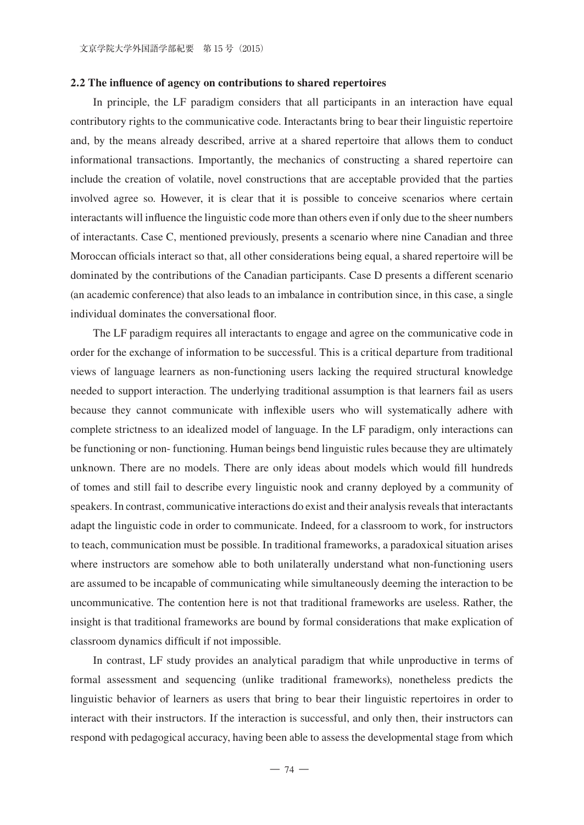# **2.2 The influence of agency on contributions to shared repertoires**

In principle, the LF paradigm considers that all participants in an interaction have equal contributory rights to the communicative code. Interactants bring to bear their linguistic repertoire and, by the means already described, arrive at a shared repertoire that allows them to conduct informational transactions. Importantly, the mechanics of constructing a shared repertoire can include the creation of volatile, novel constructions that are acceptable provided that the parties involved agree so. However, it is clear that it is possible to conceive scenarios where certain interactants will influence the linguistic code more than others even if only due to the sheer numbers of interactants. Case C, mentioned previously, presents a scenario where nine Canadian and three Moroccan officials interact so that, all other considerations being equal, a shared repertoire will be dominated by the contributions of the Canadian participants. Case D presents a different scenario (an academic conference) that also leads to an imbalance in contribution since, in this case, a single individual dominates the conversational floor.

The LF paradigm requires all interactants to engage and agree on the communicative code in order for the exchange of information to be successful. This is a critical departure from traditional views of language learners as non-functioning users lacking the required structural knowledge needed to support interaction. The underlying traditional assumption is that learners fail as users because they cannot communicate with inflexible users who will systematically adhere with complete strictness to an idealized model of language. In the LF paradigm, only interactions can be functioning or non- functioning. Human beings bend linguistic rules because they are ultimately unknown. There are no models. There are only ideas about models which would fill hundreds of tomes and still fail to describe every linguistic nook and cranny deployed by a community of speakers. In contrast, communicative interactions do exist and their analysis reveals that interactants adapt the linguistic code in order to communicate. Indeed, for a classroom to work, for instructors to teach, communication must be possible. In traditional frameworks, a paradoxical situation arises where instructors are somehow able to both unilaterally understand what non-functioning users are assumed to be incapable of communicating while simultaneously deeming the interaction to be uncommunicative. The contention here is not that traditional frameworks are useless. Rather, the insight is that traditional frameworks are bound by formal considerations that make explication of classroom dynamics difficult if not impossible.

In contrast, LF study provides an analytical paradigm that while unproductive in terms of formal assessment and sequencing (unlike traditional frameworks), nonetheless predicts the linguistic behavior of learners as users that bring to bear their linguistic repertoires in order to interact with their instructors. If the interaction is successful, and only then, their instructors can respond with pedagogical accuracy, having been able to assess the developmental stage from which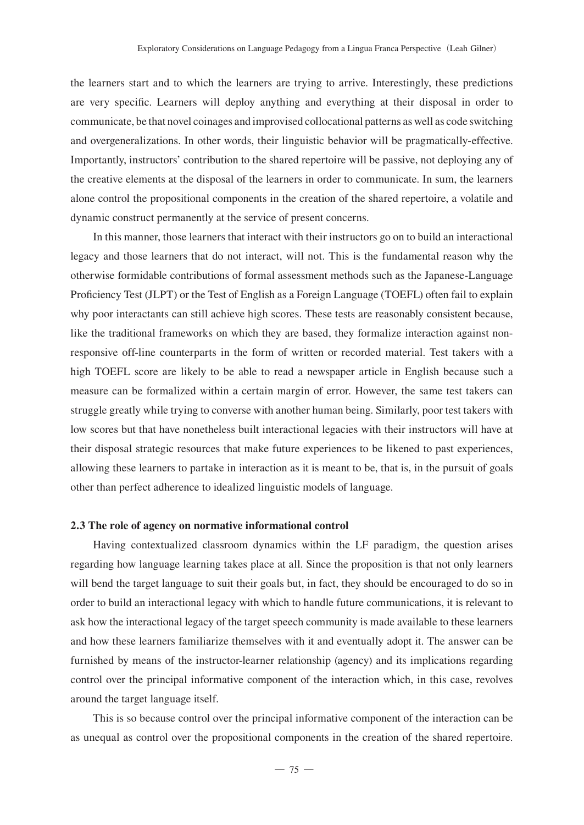the learners start and to which the learners are trying to arrive. Interestingly, these predictions are very specific. Learners will deploy anything and everything at their disposal in order to communicate, be that novel coinages and improvised collocational patterns as well as code switching and overgeneralizations. In other words, their linguistic behavior will be pragmatically-effective. Importantly, instructors' contribution to the shared repertoire will be passive, not deploying any of the creative elements at the disposal of the learners in order to communicate. In sum, the learners alone control the propositional components in the creation of the shared repertoire, a volatile and dynamic construct permanently at the service of present concerns.

In this manner, those learners that interact with their instructors go on to build an interactional legacy and those learners that do not interact, will not. This is the fundamental reason why the otherwise formidable contributions of formal assessment methods such as the Japanese-Language Proficiency Test (JLPT) or the Test of English as a Foreign Language (TOEFL) often fail to explain why poor interactants can still achieve high scores. These tests are reasonably consistent because, like the traditional frameworks on which they are based, they formalize interaction against nonresponsive off-line counterparts in the form of written or recorded material. Test takers with a high TOEFL score are likely to be able to read a newspaper article in English because such a measure can be formalized within a certain margin of error. However, the same test takers can struggle greatly while trying to converse with another human being. Similarly, poor test takers with low scores but that have nonetheless built interactional legacies with their instructors will have at their disposal strategic resources that make future experiences to be likened to past experiences, allowing these learners to partake in interaction as it is meant to be, that is, in the pursuit of goals other than perfect adherence to idealized linguistic models of language.

## **2.3 The role of agency on normative informational control**

Having contextualized classroom dynamics within the LF paradigm, the question arises regarding how language learning takes place at all. Since the proposition is that not only learners will bend the target language to suit their goals but, in fact, they should be encouraged to do so in order to build an interactional legacy with which to handle future communications, it is relevant to ask how the interactional legacy of the target speech community is made available to these learners and how these learners familiarize themselves with it and eventually adopt it. The answer can be furnished by means of the instructor-learner relationship (agency) and its implications regarding control over the principal informative component of the interaction which, in this case, revolves around the target language itself.

This is so because control over the principal informative component of the interaction can be as unequal as control over the propositional components in the creation of the shared repertoire.

 $-75-$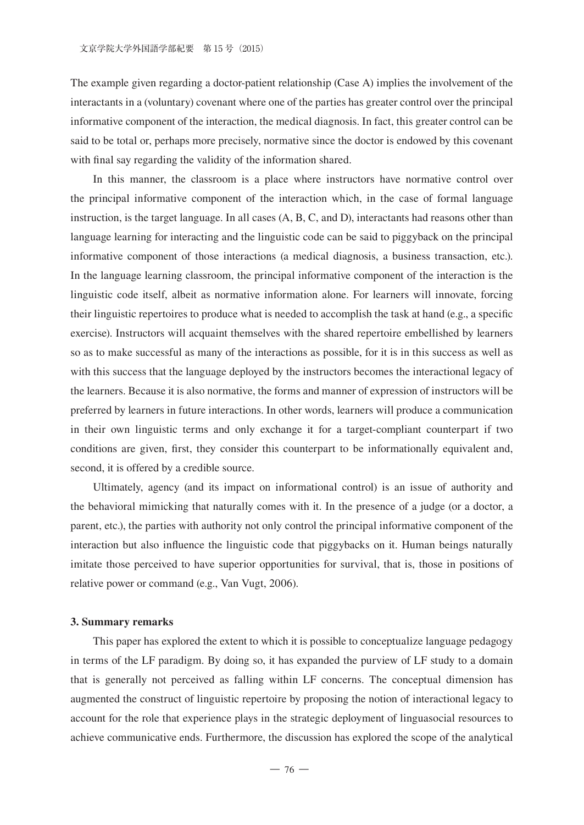The example given regarding a doctor-patient relationship (Case A) implies the involvement of the interactants in a (voluntary) covenant where one of the parties has greater control over the principal informative component of the interaction, the medical diagnosis. In fact, this greater control can be said to be total or, perhaps more precisely, normative since the doctor is endowed by this covenant with final say regarding the validity of the information shared.

In this manner, the classroom is a place where instructors have normative control over the principal informative component of the interaction which, in the case of formal language instruction, is the target language. In all cases (A, B, C, and D), interactants had reasons other than language learning for interacting and the linguistic code can be said to piggyback on the principal informative component of those interactions (a medical diagnosis, a business transaction, etc.). In the language learning classroom, the principal informative component of the interaction is the linguistic code itself, albeit as normative information alone. For learners will innovate, forcing their linguistic repertoires to produce what is needed to accomplish the task at hand (e.g., a specific exercise). Instructors will acquaint themselves with the shared repertoire embellished by learners so as to make successful as many of the interactions as possible, for it is in this success as well as with this success that the language deployed by the instructors becomes the interactional legacy of the learners. Because it is also normative, the forms and manner of expression of instructors will be preferred by learners in future interactions. In other words, learners will produce a communication in their own linguistic terms and only exchange it for a target-compliant counterpart if two conditions are given, first, they consider this counterpart to be informationally equivalent and, second, it is offered by a credible source.

Ultimately, agency (and its impact on informational control) is an issue of authority and the behavioral mimicking that naturally comes with it. In the presence of a judge (or a doctor, a parent, etc.), the parties with authority not only control the principal informative component of the interaction but also influence the linguistic code that piggybacks on it. Human beings naturally imitate those perceived to have superior opportunities for survival, that is, those in positions of relative power or command (e.g., Van Vugt, 2006).

#### **3. Summary remarks**

This paper has explored the extent to which it is possible to conceptualize language pedagogy in terms of the LF paradigm. By doing so, it has expanded the purview of LF study to a domain that is generally not perceived as falling within LF concerns. The conceptual dimension has augmented the construct of linguistic repertoire by proposing the notion of interactional legacy to account for the role that experience plays in the strategic deployment of linguasocial resources to achieve communicative ends. Furthermore, the discussion has explored the scope of the analytical